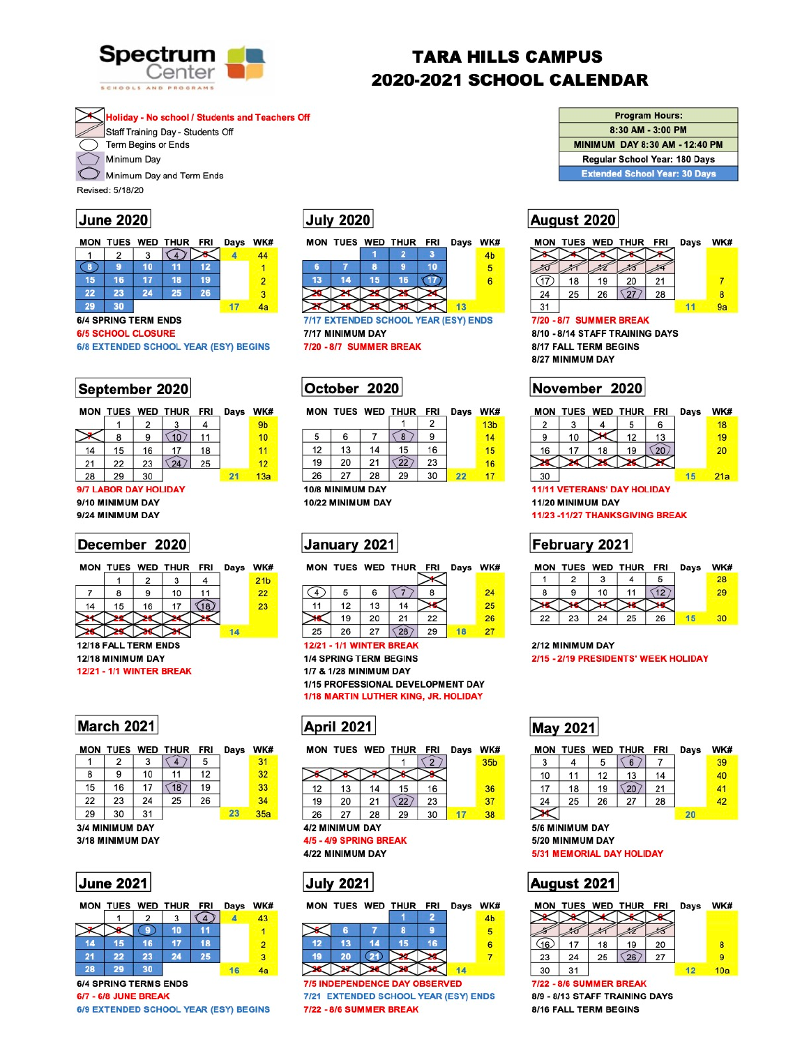

# **TARA HILLS CAMPUS 2020-2021 SCHOOL CALENDAR**

**Holiday - No school / Students and Teachers Off** 

Staff Training Day - Students Off Term Begins or Ends

Minimum Day

Minimum Day and Term Ends

Revised: 5/18/20

### **June 2020**

|    |    |    | MON TUES WED THUR FRI Days WK# |    |    |
|----|----|----|--------------------------------|----|----|
|    |    |    |                                |    | 44 |
| 8  |    | 10 |                                |    |    |
| 15 | 16 | 17 | 18                             | 19 | 2  |
| 22 | 23 | 24 | 25                             | 26 | з  |
| 29 | ₹n |    |                                |    |    |

#### **6/4 SPRING TERM ENDS**

#### **6/5 SCHOOL CLOSURE**

| 6/8 EXTENDED SCHOOL YEAR (ESY) BEGINS |  |  |
|---------------------------------------|--|--|
|                                       |  |  |

### September 2020

|    |    |    | MON TUES WED THUR FRI |    | Days | WK              |
|----|----|----|-----------------------|----|------|-----------------|
|    |    | 2  |                       |    |      | 9b              |
|    | 8  | 9  | 10                    | 11 |      | 10              |
| 14 | 15 | 16 | 17                    | 18 |      | 11              |
| 21 | 22 | 23 | 24                    | 25 |      | 12              |
| 28 | 29 | 30 |                       |    | 21   | 13 <sub>i</sub> |
|    |    |    |                       |    |      |                 |

#### 9/7 LABOR DAY HOLIDAY

9/10 MINIMUM DAY 9/24 MINIMUM DAY

### December 2020

|  | MON TUES WED THUR FRI Days WK |  |  |
|--|-------------------------------|--|--|
|  |                               |  |  |
|  | 10                            |  |  |

# **July 2020**

|    |    |     | MON TUES WED THUR FRI |    | Days | <b>WKi</b> |
|----|----|-----|-----------------------|----|------|------------|
|    |    |     |                       |    |      | 4b         |
|    |    | я   |                       | 10 |      |            |
| 13 | 14 | 15/ | 16                    |    |      |            |
|    |    |     |                       |    |      |            |
|    |    |     |                       |    | 13   |            |

7/17 EXTENDED SCHOOL YEAR (ESY) ENDS 7/17 MINIMUM DAY 7/20 - 8/7 SUMMER BREAK

## October 2020

|    |    |    | MON TUES WED THUR FRI |    | Days | WK#             |
|----|----|----|-----------------------|----|------|-----------------|
|    |    |    |                       |    |      | 13 <sub>b</sub> |
| 5  | 6  |    | 8                     | 9  |      | 14              |
| 12 | 13 | 14 | 15                    | 16 |      | 15              |
| 19 | 20 | 21 | $\overline{22}$       | 23 |      | 16              |
| 26 | 27 | 28 | 29                    | 30 | 22   | 17              |

### 10/8 MINIMUM DAY

10/22 MINIMUM DAY





| <b>Program Hours:</b>                 |
|---------------------------------------|
| 8:30 AM - 3:00 PM                     |
| <b>MINIMUM DAY 8:30 AM - 12:40 PM</b> |
| Regular School Year: 180 Days         |
| <b>Extended School Year: 30 Days</b>  |
|                                       |

# August 2020

|    |    |    | MON TUES WED THUR FRI |    | Days | WK# |
|----|----|----|-----------------------|----|------|-----|
|    |    |    |                       |    |      |     |
|    |    |    |                       |    |      |     |
|    | 18 | 19 | 20                    | 21 |      |     |
| 24 | 25 | 26 |                       | 28 |      | 8   |
| 31 |    |    |                       |    |      | 9а  |

7/20 - 8/7 SUMMER BREAK 8/10 - 8/14 STAFF TRAINING DAYS

8/17 FALL TERM BEGINS 8/27 MINIMUM DAY

## November 2020

| MON |    |    | TUES WED THUR FRI |    | Days | WK# |
|-----|----|----|-------------------|----|------|-----|
| 2   |    |    |                   | 6  |      | 18  |
| 9   | 10 |    | 12                | 13 |      | 19  |
| 16  | 17 | 18 | 19                | 20 |      | 20  |
|     |    |    |                   |    |      |     |
| 30  |    |    |                   |    | 15   | 21a |

#### **11/11 VETERANS' DAY HOLIDAY** 11/20 MINIMUM DAY

11/23 -11/27 THANKSGIVING BREAK

## February 2021

|  | MON TUES WED THUR FRI Days WK# |  |  |
|--|--------------------------------|--|--|
|  |                                |  |  |
|  | $10$ 11 $\sqrt{12}$            |  |  |



12/18 FALL TERM ENDS 12/18 MINIMUM DAY **12/21 - 1/1 WINTER BREAK** 

|    |    | 13 | 14  |    | 45 |
|----|----|----|-----|----|----|
|    | 19 | 20 | 21  | 22 | 26 |
| 25 | 26 | 27 | 28) | 29 |    |
|    |    |    |     |    |    |

**12/21 - 1/1 WINTER BREAK** 

**1/4 SPRING TERM BEGINS** 1/7 & 1/28 MINIMUM DAY 1/15 PROFESSIONAL DEVELOPMENT DAY 1/18 MARTIN LUTHER KING, JR. HOLIDAY

## **March 2021**

|    | <b>MON TUES WED THUR</b> |    |    | FRI | Days | WK# |
|----|--------------------------|----|----|-----|------|-----|
|    | 2                        | 3  | 4  | 5   |      | 31  |
| 8  | 9                        | 10 | 11 | 12  |      | 32  |
| 15 | 16                       | 17 | 18 | 19  |      | 33  |
| 22 | 23                       | 24 | 25 | 26  |      | 34  |
| 29 | 30                       | 31 |    |     | 23   | 35a |
|    | 3/4 MINIMUM DAY          |    |    |     |      |     |

3/18 MINIMUM DAY



| MON |    |    | TUES WED THUR | <b>FRI</b> | <b>Days</b> | WKi |
|-----|----|----|---------------|------------|-------------|-----|
|     |    | 2  |               |            |             | 43  |
|     |    | 9  | 10            |            |             |     |
| 14  | 15 | 16 | 17            | 18         |             | 2   |
| 21  | 22 | 23 | 24            | 25         |             | 3   |
| 28  | 29 | 30 |               |            | 16          | 4a  |
|     |    |    |               |            |             |     |

**6/4 SPRING TERMS ENDS** 

**6/7 - 6/8 JUNE BREAK** 6/9 EXTENDED SCHOOL YEAR (ESY) BEGINS

# **April 2021**

|    |                 |    | MON TUES WED THUR FRI |    | Days | <b>WK</b>       |
|----|-----------------|----|-----------------------|----|------|-----------------|
|    |                 |    |                       |    |      | 35 <sub>b</sub> |
|    |                 |    |                       |    |      |                 |
| 12 | 13              | 14 | 15                    | 16 |      | 36              |
| 19 | 20              | 21 | 22                    | 23 |      | 37              |
| 26 | 27              | 28 | 29                    | 30 | 17   | 38              |
|    | 4/2 MINIMUM DAY |    |                       |    |      |                 |

4/5 - 4/9 SPRING BREAK

4/22 MINIMUM DAY





**7/5 INDEPENDENCE DAY OBSERVED** 7/21 EXTENDED SCHOOL YEAR (ESY) ENDS 7/22 - 8/6 SUMMER BREAK



#### 2/12 MINIMUM DAY 2/15 - 2/19 PRESIDENTS' WEEK HOLIDAY

## **May 2021**

|    |                  |    | MON TUES WED THUR | <b>FRI</b> | Days | WK# |
|----|------------------|----|-------------------|------------|------|-----|
| 3  | 4                | 5  | 6                 |            |      | 39  |
| 10 | 11               | 12 | 13                | 14         |      | 40  |
| 17 | 18               | 19 | 20                | 21         |      | 41  |
| 24 | 25               | 26 | 27                | 28         |      | 42  |
|    |                  |    |                   |            | 20   |     |
|    | 5/6 MINIMUM DAY  |    |                   |            |      |     |
|    | 5/20 MINIMUM DAY |    |                   |            |      |     |
|    |                  |    |                   |            |      |     |

**5/31 MEMORIAL DAY HOLIDAY** 

August 2021



8/16 FALL TERM BEGINS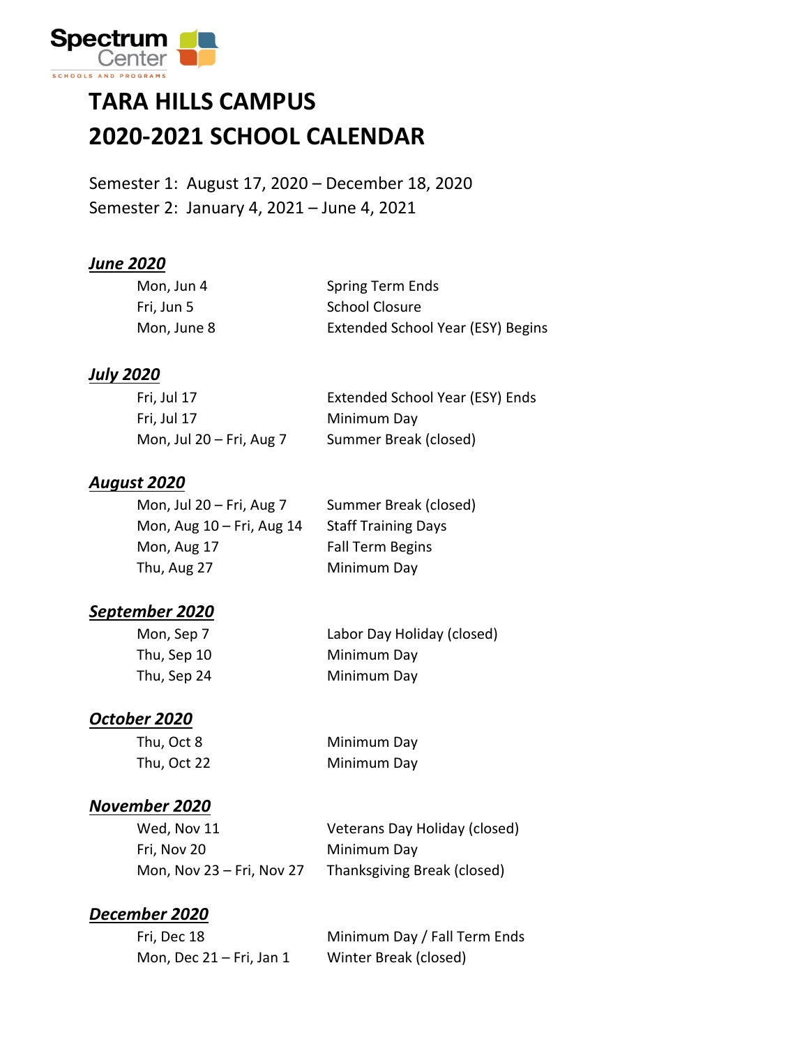

### **TARA HILLS CAMPUS 2020-2021 SCHOOL CALENDAR**

Semester 1: August 17, 2020 – December 18, 2020 Semester 2: January 4, 2021 – June 4, 2021

#### *June 2020*

| Mon, Jun 4  | Spring Term Ends                  |
|-------------|-----------------------------------|
| Fri, Jun 5  | School Closure                    |
| Mon, June 8 | Extended School Year (ESY) Begins |

#### *July 2020*

| Fri, Jul 17                 | Extended School Year (ESY) Ends |
|-----------------------------|---------------------------------|
| Fri, Jul 17                 | Minimum Day                     |
| Mon, Jul $20 - Fri$ , Aug 7 | Summer Break (closed)           |

#### *August 2020*

| Mon, Jul $20 - Fri$ , Aug 7    | Summer Break (closed)      |
|--------------------------------|----------------------------|
| Mon, Aug $10 - Fri$ , Aug $14$ | <b>Staff Training Days</b> |
| Mon, Aug 17                    | <b>Fall Term Begins</b>    |
| Thu, Aug 27                    | Minimum Day                |

#### *September 2020*

| Mon, Sep 7  | Labor Day Holi |
|-------------|----------------|
| Thu, Sep 10 | Minimum Day    |
| Thu, Sep 24 | Minimum Day    |

Mon, Sep 7 Labor Day Holiday (closed)

#### *October 2020*

| Thu, Oct 8  |  |
|-------------|--|
| Thu, Oct 22 |  |

Minimum Day Minimum Day

#### *November 2020*

| Wed, Nov 11               | Veterans Day Holiday (closed) |
|---------------------------|-------------------------------|
| Fri, Nov 20               | Minimum Day                   |
| Mon, Nov 23 – Fri, Nov 27 | Thanksgiving Break (closed)   |

#### *December 2020*

| Fri, Dec 18                 | Minimum Day / Fall Term Ends |
|-----------------------------|------------------------------|
| Mon, Dec $21 - Fri$ , Jan 1 | Winter Break (closed)        |